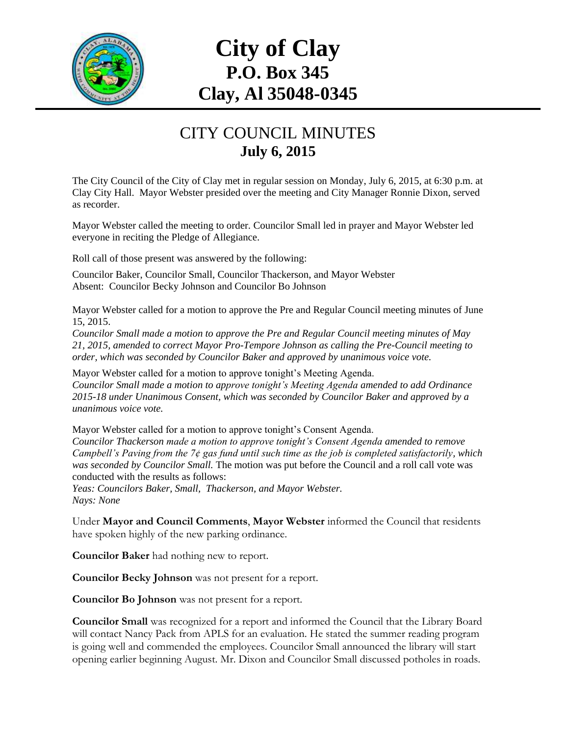

## **City of Clay P.O. Box 345 Clay, Al 35048-0345**

## CITY COUNCIL MINUTES **July 6, 2015**

The City Council of the City of Clay met in regular session on Monday, July 6, 2015, at 6:30 p.m. at Clay City Hall. Mayor Webster presided over the meeting and City Manager Ronnie Dixon, served as recorder.

Mayor Webster called the meeting to order. Councilor Small led in prayer and Mayor Webster led everyone in reciting the Pledge of Allegiance.

Roll call of those present was answered by the following:

Councilor Baker, Councilor Small, Councilor Thackerson, and Mayor Webster Absent: Councilor Becky Johnson and Councilor Bo Johnson

Mayor Webster called for a motion to approve the Pre and Regular Council meeting minutes of June 15, 2015.

*Councilor Small made a motion to approve the Pre and Regular Council meeting minutes of May 21, 2015, amended to correct Mayor Pro-Tempore Johnson as calling the Pre-Council meeting to order, which was seconded by Councilor Baker and approved by unanimous voice vote.*

Mayor Webster called for a motion to approve tonight's Meeting Agenda. *Councilor Small made a motion to approve tonight's Meeting Agenda amended to add Ordinance 2015-18 under Unanimous Consent, which was seconded by Councilor Baker and approved by a unanimous voice vote.*

Mayor Webster called for a motion to approve tonight's Consent Agenda. *Councilor Thackerson made a motion to approve tonight's Consent Agenda amended to remove Campbell's Paving from the 7¢ gas fund until such time as the job is completed satisfactorily, which was seconded by Councilor Small.* The motion was put before the Council and a roll call vote was conducted with the results as follows:

*Yeas: Councilors Baker, Small, Thackerson, and Mayor Webster. Nays: None*

Under **Mayor and Council Comments**, **Mayor Webster** informed the Council that residents have spoken highly of the new parking ordinance.

**Councilor Baker** had nothing new to report.

**Councilor Becky Johnson** was not present for a report.

**Councilor Bo Johnson** was not present for a report.

**Councilor Small** was recognized for a report and informed the Council that the Library Board will contact Nancy Pack from APLS for an evaluation. He stated the summer reading program is going well and commended the employees. Councilor Small announced the library will start opening earlier beginning August. Mr. Dixon and Councilor Small discussed potholes in roads.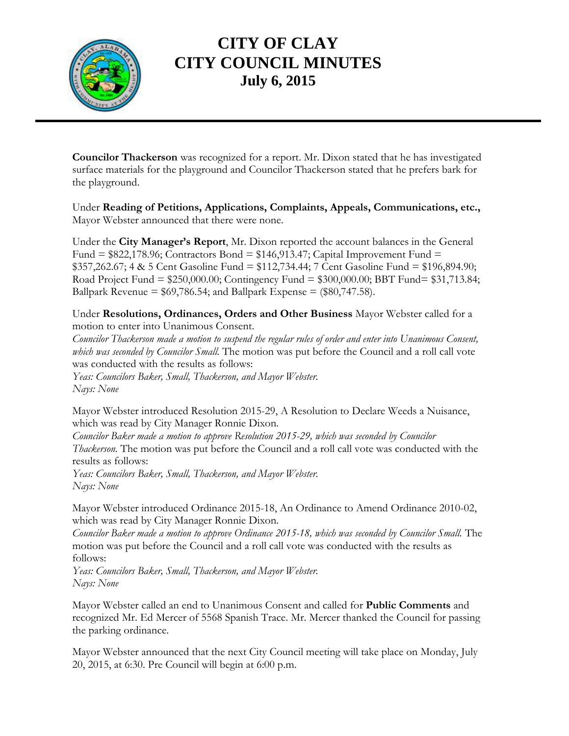

## **CITY OF CLAY CITY COUNCIL MINUTES July 6, 2015**

**Councilor Thackerson** was recognized for a report. Mr. Dixon stated that he has investigated surface materials for the playground and Councilor Thackerson stated that he prefers bark for the playground.

Under **Reading of Petitions, Applications, Complaints, Appeals, Communications, etc.,** Mayor Webster announced that there were none.

Under the **City Manager's Report**, Mr. Dixon reported the account balances in the General Fund  $= $822,178.96$ ; Contractors Bond  $= $146,913.47$ ; Capital Improvement Fund  $=$ \$357,262.67; 4 & 5 Cent Gasoline Fund = \$112,734.44; 7 Cent Gasoline Fund = \$196,894.90; Road Project Fund = \$250,000.00; Contingency Fund = \$300,000.00; BBT Fund= \$31,713.84; Ballpark Revenue =  $$69,786.54$ ; and Ballpark Expense =  $$80,747.58$ ).

Under **Resolutions, Ordinances, Orders and Other Business** Mayor Webster called for a motion to enter into Unanimous Consent.

*Councilor Thackerson made a motion to suspend the regular rules of order and enter into Unanimous Consent, which was seconded by Councilor Small.* The motion was put before the Council and a roll call vote was conducted with the results as follows:

*Yeas: Councilors Baker, Small, Thackerson, and Mayor Webster. Nays: None*

Mayor Webster introduced Resolution 2015-29, A Resolution to Declare Weeds a Nuisance, which was read by City Manager Ronnie Dixon.

*Councilor Baker made a motion to approve Resolution 2015-29, which was seconded by Councilor Thackerson.* The motion was put before the Council and a roll call vote was conducted with the results as follows:

*Yeas: Councilors Baker, Small, Thackerson, and Mayor Webster. Nays: None*

Mayor Webster introduced Ordinance 2015-18, An Ordinance to Amend Ordinance 2010-02, which was read by City Manager Ronnie Dixon.

*Councilor Baker made a motion to approve Ordinance 2015-18, which was seconded by Councilor Small.* The motion was put before the Council and a roll call vote was conducted with the results as follows:

*Yeas: Councilors Baker, Small, Thackerson, and Mayor Webster. Nays: None*

Mayor Webster called an end to Unanimous Consent and called for **Public Comments** and recognized Mr. Ed Mercer of 5568 Spanish Trace. Mr. Mercer thanked the Council for passing the parking ordinance.

Mayor Webster announced that the next City Council meeting will take place on Monday, July 20, 2015, at 6:30. Pre Council will begin at 6:00 p.m.